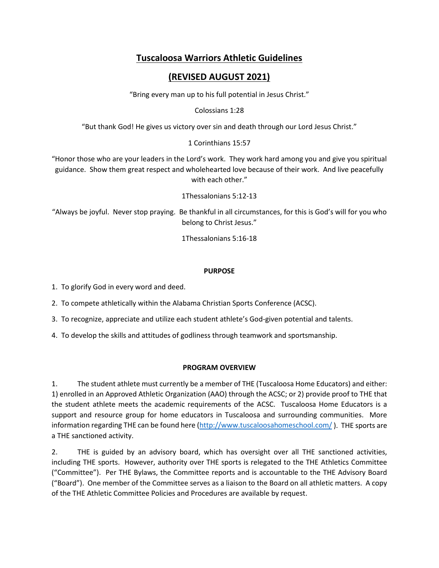# **Tuscaloosa Warriors Athletic Guidelines**

# **(REVISED AUGUST 2021)**

"Bring every man up to his full potential in Jesus Christ."

Colossians 1:28

"But thank God! He gives us victory over sin and death through our Lord Jesus Christ."

### 1 Corinthians 15:57

"Honor those who are your leaders in the Lord's work. They work hard among you and give you spiritual guidance. Show them great respect and wholehearted love because of their work. And live peacefully with each other."

1Thessalonians 5:12-13

"Always be joyful. Never stop praying. Be thankful in all circumstances, for this is God's will for you who belong to Christ Jesus."

1Thessalonians 5:16-18

### **PURPOSE**

1. To glorify God in every word and deed.

2. To compete athletically within the Alabama Christian Sports Conference (ACSC).

3. To recognize, appreciate and utilize each student athlete's God-given potential and talents.

4. To develop the skills and attitudes of godliness through teamwork and sportsmanship.

### **PROGRAM OVERVIEW**

1. The student athlete must currently be a member of THE (Tuscaloosa Home Educators) and either: 1) enrolled in an Approved Athletic Organization (AAO) through the ACSC; or 2) provide proof to THE that the student athlete meets the academic requirements of the ACSC. Tuscaloosa Home Educators is a support and resource group for home educators in Tuscaloosa and surrounding communities. More information regarding THE can be found here [\(http://www.tuscaloosahomeschool.com/](http://www.tuscaloosahomeschool.com/) ). THE sports are a THE sanctioned activity.

2. THE is guided by an advisory board, which has oversight over all THE sanctioned activities, including THE sports. However, authority over THE sports is relegated to the THE Athletics Committee ("Committee"). Per THE Bylaws, the Committee reports and is accountable to the THE Advisory Board ("Board"). One member of the Committee serves as a liaison to the Board on all athletic matters. A copy of the THE Athletic Committee Policies and Procedures are available by request.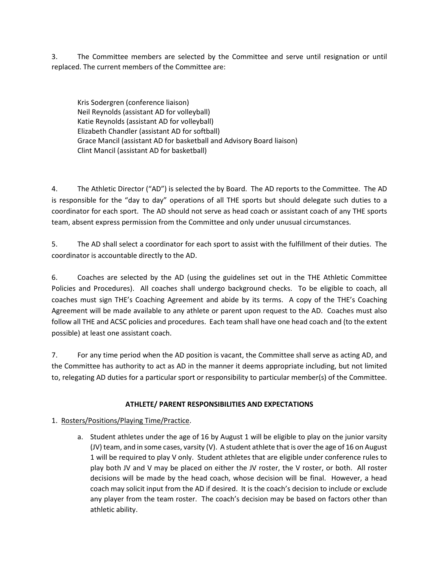3. The Committee members are selected by the Committee and serve until resignation or until replaced. The current members of the Committee are:

Kris Sodergren (conference liaison) Neil Reynolds (assistant AD for volleyball) Katie Reynolds (assistant AD for volleyball) Elizabeth Chandler (assistant AD for softball) Grace Mancil (assistant AD for basketball and Advisory Board liaison) Clint Mancil (assistant AD for basketball)

4. The Athletic Director ("AD") is selected the by Board. The AD reports to the Committee. The AD is responsible for the "day to day" operations of all THE sports but should delegate such duties to a coordinator for each sport. The AD should not serve as head coach or assistant coach of any THE sports team, absent express permission from the Committee and only under unusual circumstances.

5. The AD shall select a coordinator for each sport to assist with the fulfillment of their duties. The coordinator is accountable directly to the AD.

6. Coaches are selected by the AD (using the guidelines set out in the THE Athletic Committee Policies and Procedures). All coaches shall undergo background checks. To be eligible to coach, all coaches must sign THE's Coaching Agreement and abide by its terms. A copy of the THE's Coaching Agreement will be made available to any athlete or parent upon request to the AD. Coaches must also follow all THE and ACSC policies and procedures. Each team shall have one head coach and (to the extent possible) at least one assistant coach.

7. For any time period when the AD position is vacant, the Committee shall serve as acting AD, and the Committee has authority to act as AD in the manner it deems appropriate including, but not limited to, relegating AD duties for a particular sport or responsibility to particular member(s) of the Committee.

### **ATHLETE/ PARENT RESPONSIBILITIES AND EXPECTATIONS**

### 1. Rosters/Positions/Playing Time/Practice.

a. Student athletes under the age of 16 by August 1 will be eligible to play on the junior varsity (JV) team, and in some cases, varsity (V). A student athlete that is over the age of 16 on August 1 will be required to play V only. Student athletes that are eligible under conference rules to play both JV and V may be placed on either the JV roster, the V roster, or both. All roster decisions will be made by the head coach, whose decision will be final. However, a head coach may solicit input from the AD if desired. It is the coach's decision to include or exclude any player from the team roster. The coach's decision may be based on factors other than athletic ability.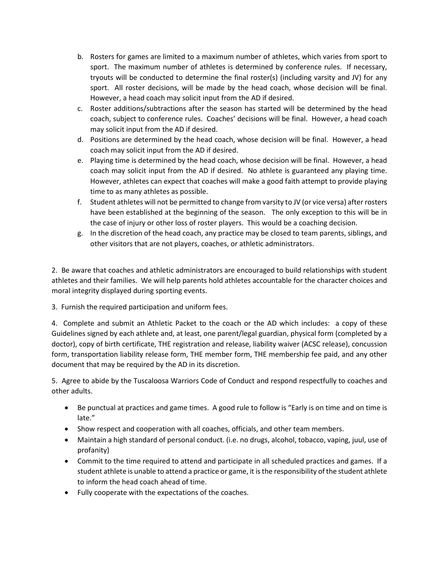- b. Rosters for games are limited to a maximum number of athletes, which varies from sport to sport. The maximum number of athletes is determined by conference rules. If necessary, tryouts will be conducted to determine the final roster(s) (including varsity and JV) for any sport. All roster decisions, will be made by the head coach, whose decision will be final. However, a head coach may solicit input from the AD if desired.
- c. Roster additions/subtractions after the season has started will be determined by the head coach, subject to conference rules. Coaches' decisions will be final. However, a head coach may solicit input from the AD if desired.
- d. Positions are determined by the head coach, whose decision will be final. However, a head coach may solicit input from the AD if desired.
- e. Playing time is determined by the head coach, whose decision will be final. However, a head coach may solicit input from the AD if desired. No athlete is guaranteed any playing time. However, athletes can expect that coaches will make a good faith attempt to provide playing time to as many athletes as possible.
- f. Student athletes will not be permitted to change from varsity to JV (or vice versa) after rosters have been established at the beginning of the season. The only exception to this will be in the case of injury or other loss of roster players. This would be a coaching decision.
- g. In the discretion of the head coach, any practice may be closed to team parents, siblings, and other visitors that are not players, coaches, or athletic administrators.

2. Be aware that coaches and athletic administrators are encouraged to build relationships with student athletes and their families. We will help parents hold athletes accountable for the character choices and moral integrity displayed during sporting events.

3. Furnish the required participation and uniform fees.

4. Complete and submit an Athletic Packet to the coach or the AD which includes: a copy of these Guidelines signed by each athlete and, at least, one parent/legal guardian, physical form (completed by a doctor), copy of birth certificate, THE registration and release, liability waiver (ACSC release), concussion form, transportation liability release form, THE member form, THE membership fee paid, and any other document that may be required by the AD in its discretion.

5. Agree to abide by the Tuscaloosa Warriors Code of Conduct and respond respectfully to coaches and other adults.

- Be punctual at practices and game times. A good rule to follow is "Early is on time and on time is late."
- Show respect and cooperation with all coaches, officials, and other team members.
- Maintain a high standard of personal conduct. (i.e. no drugs, alcohol, tobacco, vaping, juul, use of profanity)
- Commit to the time required to attend and participate in all scheduled practices and games. If a student athlete is unable to attend a practice or game, it is the responsibility of the student athlete to inform the head coach ahead of time.
- Fully cooperate with the expectations of the coaches.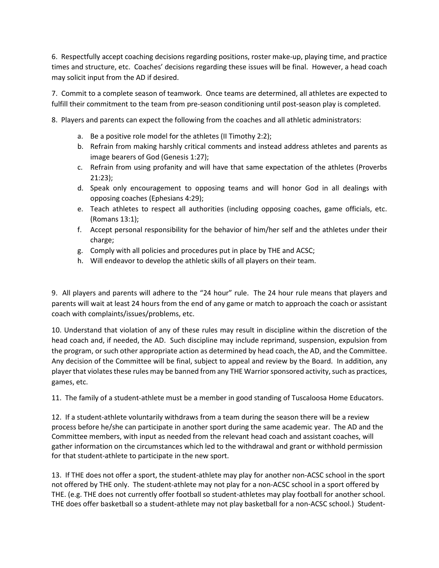6. Respectfully accept coaching decisions regarding positions, roster make-up, playing time, and practice times and structure, etc. Coaches' decisions regarding these issues will be final. However, a head coach may solicit input from the AD if desired.

7. Commit to a complete season of teamwork. Once teams are determined, all athletes are expected to fulfill their commitment to the team from pre-season conditioning until post-season play is completed.

8. Players and parents can expect the following from the coaches and all athletic administrators:

- a. Be a positive role model for the athletes (II Timothy 2:2);
- b. Refrain from making harshly critical comments and instead address athletes and parents as image bearers of God (Genesis 1:27);
- c. Refrain from using profanity and will have that same expectation of the athletes (Proverbs 21:23);
- d. Speak only encouragement to opposing teams and will honor God in all dealings with opposing coaches (Ephesians 4:29);
- e. Teach athletes to respect all authorities (including opposing coaches, game officials, etc. (Romans 13:1);
- f. Accept personal responsibility for the behavior of him/her self and the athletes under their charge;
- g. Comply with all policies and procedures put in place by THE and ACSC;
- h. Will endeavor to develop the athletic skills of all players on their team.

9. All players and parents will adhere to the "24 hour" rule. The 24 hour rule means that players and parents will wait at least 24 hours from the end of any game or match to approach the coach or assistant coach with complaints/issues/problems, etc.

10. Understand that violation of any of these rules may result in discipline within the discretion of the head coach and, if needed, the AD. Such discipline may include reprimand, suspension, expulsion from the program, or such other appropriate action as determined by head coach, the AD, and the Committee. Any decision of the Committee will be final, subject to appeal and review by the Board. In addition, any player that violates these rules may be banned from any THE Warrior sponsored activity, such as practices, games, etc.

11. The family of a student-athlete must be a member in good standing of Tuscaloosa Home Educators.

12. If a student-athlete voluntarily withdraws from a team during the season there will be a review process before he/she can participate in another sport during the same academic year. The AD and the Committee members, with input as needed from the relevant head coach and assistant coaches, will gather information on the circumstances which led to the withdrawal and grant or withhold permission for that student-athlete to participate in the new sport.

13. If THE does not offer a sport, the student-athlete may play for another non-ACSC school in the sport not offered by THE only. The student-athlete may not play for a non-ACSC school in a sport offered by THE. (e.g. THE does not currently offer football so student-athletes may play football for another school. THE does offer basketball so a student-athlete may not play basketball for a non-ACSC school.) Student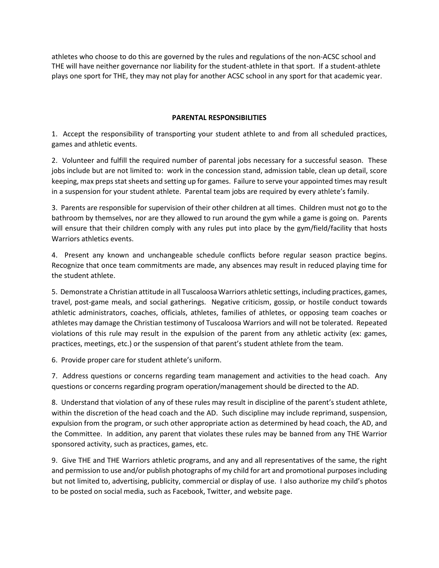athletes who choose to do this are governed by the rules and regulations of the non-ACSC school and THE will have neither governance nor liability for the student-athlete in that sport. If a student-athlete plays one sport for THE, they may not play for another ACSC school in any sport for that academic year.

#### **PARENTAL RESPONSIBILITIES**

1. Accept the responsibility of transporting your student athlete to and from all scheduled practices, games and athletic events.

2. Volunteer and fulfill the required number of parental jobs necessary for a successful season. These jobs include but are not limited to: work in the concession stand, admission table, clean up detail, score keeping, max preps stat sheets and setting up for games. Failure to serve your appointed times may result in a suspension for your student athlete. Parental team jobs are required by every athlete's family.

3. Parents are responsible for supervision of their other children at all times. Children must not go to the bathroom by themselves, nor are they allowed to run around the gym while a game is going on. Parents will ensure that their children comply with any rules put into place by the gym/field/facility that hosts Warriors athletics events.

4. Present any known and unchangeable schedule conflicts before regular season practice begins. Recognize that once team commitments are made, any absences may result in reduced playing time for the student athlete.

5. Demonstrate a Christian attitude in all Tuscaloosa Warriors athletic settings, including practices, games, travel, post-game meals, and social gatherings. Negative criticism, gossip, or hostile conduct towards athletic administrators, coaches, officials, athletes, families of athletes, or opposing team coaches or athletes may damage the Christian testimony of Tuscaloosa Warriors and will not be tolerated. Repeated violations of this rule may result in the expulsion of the parent from any athletic activity (ex: games, practices, meetings, etc.) or the suspension of that parent's student athlete from the team.

6. Provide proper care for student athlete's uniform.

7. Address questions or concerns regarding team management and activities to the head coach. Any questions or concerns regarding program operation/management should be directed to the AD.

8. Understand that violation of any of these rules may result in discipline of the parent's student athlete, within the discretion of the head coach and the AD. Such discipline may include reprimand, suspension, expulsion from the program, or such other appropriate action as determined by head coach, the AD, and the Committee. In addition, any parent that violates these rules may be banned from any THE Warrior sponsored activity, such as practices, games, etc.

9. Give THE and THE Warriors athletic programs, and any and all representatives of the same, the right and permission to use and/or publish photographs of my child for art and promotional purposes including but not limited to, advertising, publicity, commercial or display of use. I also authorize my child's photos to be posted on social media, such as Facebook, Twitter, and website page.